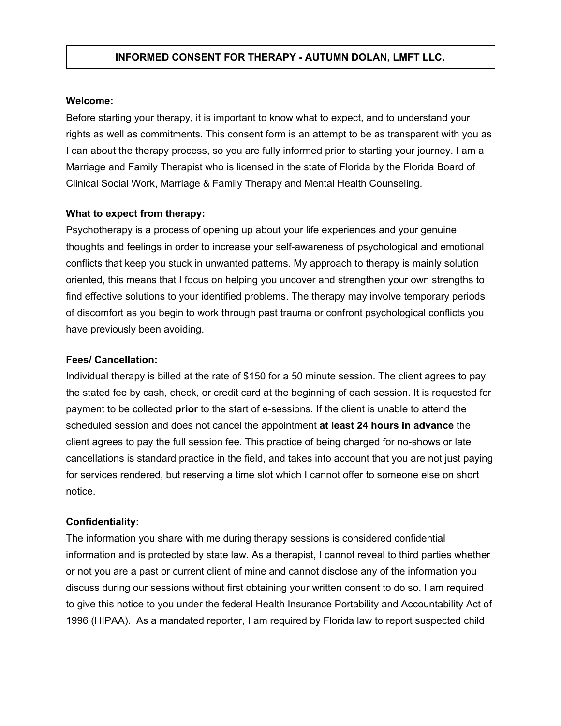## **Welcome:**

Before starting your therapy, it is important to know what to expect, and to understand your rights as well as commitments. This consent form is an attempt to be as transparent with you as I can about the therapy process, so you are fully informed prior to starting your journey. I am a Marriage and Family Therapist who is licensed in the state of Florida by the Florida Board of Clinical Social Work, Marriage & Family Therapy and Mental Health Counseling.

## **What to expect from therapy:**

Psychotherapy is a process of opening up about your life experiences and your genuine thoughts and feelings in order to increase your self-awareness of psychological and emotional conflicts that keep you stuck in unwanted patterns. My approach to therapy is mainly solution oriented, this means that I focus on helping you uncover and strengthen your own strengths to find effective solutions to your identified problems. The therapy may involve temporary periods of discomfort as you begin to work through past trauma or confront psychological conflicts you have previously been avoiding.

## **Fees/ Cancellation:**

Individual therapy is billed at the rate of \$150 for a 50 minute session. The client agrees to pay the stated fee by cash, check, or credit card at the beginning of each session. It is requested for payment to be collected **prior** to the start of e-sessions. If the client is unable to attend the scheduled session and does not cancel the appointment **at least 24 hours in advance** the client agrees to pay the full session fee. This practice of being charged for no-shows or late cancellations is standard practice in the field, and takes into account that you are not just paying for services rendered, but reserving a time slot which I cannot offer to someone else on short notice.

## **Confidentiality:**

The information you share with me during therapy sessions is considered confidential information and is protected by state law. As a therapist, I cannot reveal to third parties whether or not you are a past or current client of mine and cannot disclose any of the information you discuss during our sessions without first obtaining your written consent to do so. I am required to give this notice to you under the federal Health Insurance Portability and Accountability Act of 1996 (HIPAA). As a mandated reporter, I am required by Florida law to report suspected child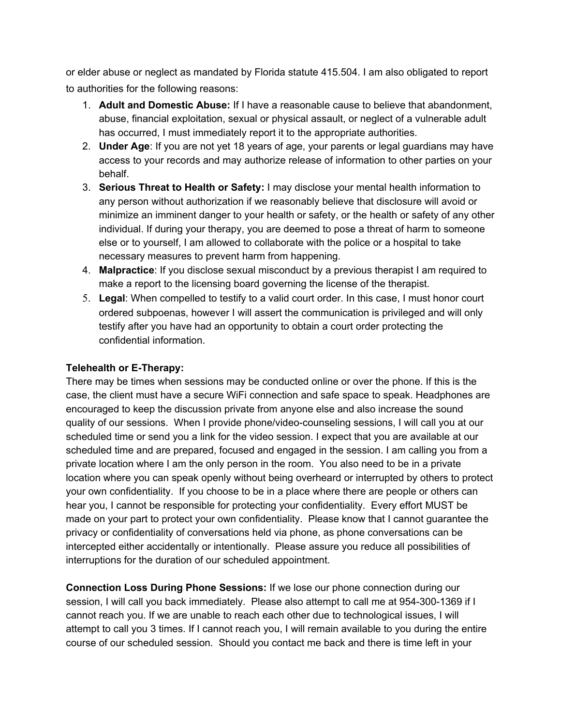or elder abuse or neglect as mandated by Florida statute 415.504. I am also obligated to report to authorities for the following reasons:

- 1. **Adult and Domestic Abuse:** If I have a reasonable cause to believe that abandonment, abuse, financial exploitation, sexual or physical assault, or neglect of a vulnerable adult has occurred, I must immediately report it to the appropriate authorities.
- 2. **Under Age**: If you are not yet 18 years of age, your parents or legal guardians may have access to your records and may authorize release of information to other parties on your behalf.
- 3. **Serious Threat to Health or Safety:** I may disclose your mental health information to any person without authorization if we reasonably believe that disclosure will avoid or minimize an imminent danger to your health or safety, or the health or safety of any other individual. If during your therapy, you are deemed to pose a threat of harm to someone else or to yourself, I am allowed to collaborate with the police or a hospital to take necessary measures to prevent harm from happening.
- 4. **Malpractice**: If you disclose sexual misconduct by a previous therapist I am required to make a report to the licensing board governing the license of the therapist.
- 5. **Legal**: When compelled to testify to a valid court order. In this case, I must honor court ordered subpoenas, however I will assert the communication is privileged and will only testify after you have had an opportunity to obtain a court order protecting the confidential information.

# **Telehealth or E-Therapy:**

There may be times when sessions may be conducted online or over the phone. If this is the case, the client must have a secure WiFi connection and safe space to speak. Headphones are encouraged to keep the discussion private from anyone else and also increase the sound quality of our sessions. When I provide phone/video-counseling sessions, I will call you at our scheduled time or send you a link for the video session. I expect that you are available at our scheduled time and are prepared, focused and engaged in the session. I am calling you from a private location where I am the only person in the room. You also need to be in a private location where you can speak openly without being overheard or interrupted by others to protect your own confidentiality. If you choose to be in a place where there are people or others can hear you, I cannot be responsible for protecting your confidentiality. Every effort MUST be made on your part to protect your own confidentiality. Please know that I cannot guarantee the privacy or confidentiality of conversations held via phone, as phone conversations can be intercepted either accidentally or intentionally. Please assure you reduce all possibilities of interruptions for the duration of our scheduled appointment.

**Connection Loss During Phone Sessions:** If we lose our phone connection during our session, I will call you back immediately. Please also attempt to call me at 954-300-1369 if I cannot reach you. If we are unable to reach each other due to technological issues, I will attempt to call you 3 times. If I cannot reach you, I will remain available to you during the entire course of our scheduled session. Should you contact me back and there is time left in your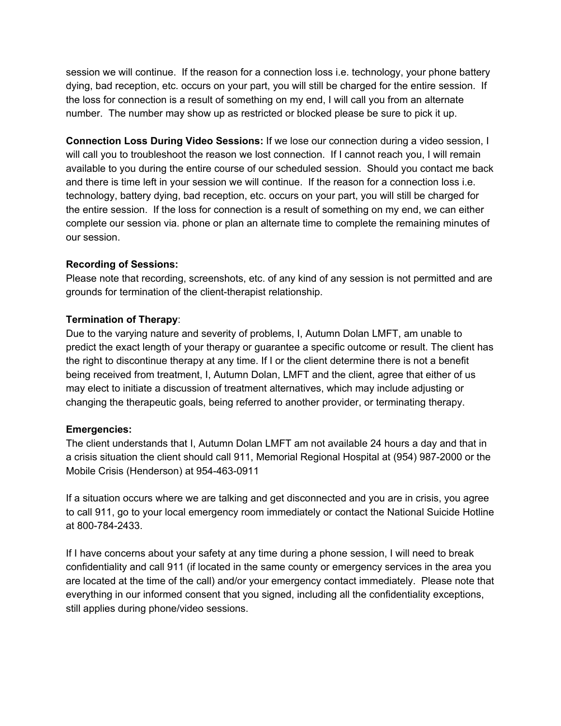session we will continue. If the reason for a connection loss i.e. technology, your phone battery dying, bad reception, etc. occurs on your part, you will still be charged for the entire session. If the loss for connection is a result of something on my end, I will call you from an alternate number. The number may show up as restricted or blocked please be sure to pick it up.

**Connection Loss During Video Sessions:** If we lose our connection during a video session, I will call you to troubleshoot the reason we lost connection. If I cannot reach you, I will remain available to you during the entire course of our scheduled session. Should you contact me back and there is time left in your session we will continue. If the reason for a connection loss i.e. technology, battery dying, bad reception, etc. occurs on your part, you will still be charged for the entire session. If the loss for connection is a result of something on my end, we can either complete our session via. phone or plan an alternate time to complete the remaining minutes of our session.

# **Recording of Sessions:**

Please note that recording, screenshots, etc. of any kind of any session is not permitted and are grounds for termination of the client-therapist relationship.

# **Termination of Therapy**:

Due to the varying nature and severity of problems, I, Autumn Dolan LMFT, am unable to predict the exact length of your therapy or guarantee a specific outcome or result. The client has the right to discontinue therapy at any time. If I or the client determine there is not a benefit being received from treatment, I, Autumn Dolan, LMFT and the client, agree that either of us may elect to initiate a discussion of treatment alternatives, which may include adjusting or changing the therapeutic goals, being referred to another provider, or terminating therapy.

# **Emergencies:**

The client understands that I, Autumn Dolan LMFT am not available 24 hours a day and that in a crisis situation the client should call 911, Memorial Regional Hospital at (954) 987-2000 or the Mobile Crisis (Henderson) at 954-463-0911

If a situation occurs where we are talking and get disconnected and you are in crisis, you agree to call 911, go to your local emergency room immediately or contact the National Suicide Hotline at 800-784-2433.

If I have concerns about your safety at any time during a phone session, I will need to break confidentiality and call 911 (if located in the same county or emergency services in the area you are located at the time of the call) and/or your emergency contact immediately. Please note that everything in our informed consent that you signed, including all the confidentiality exceptions, still applies during phone/video sessions.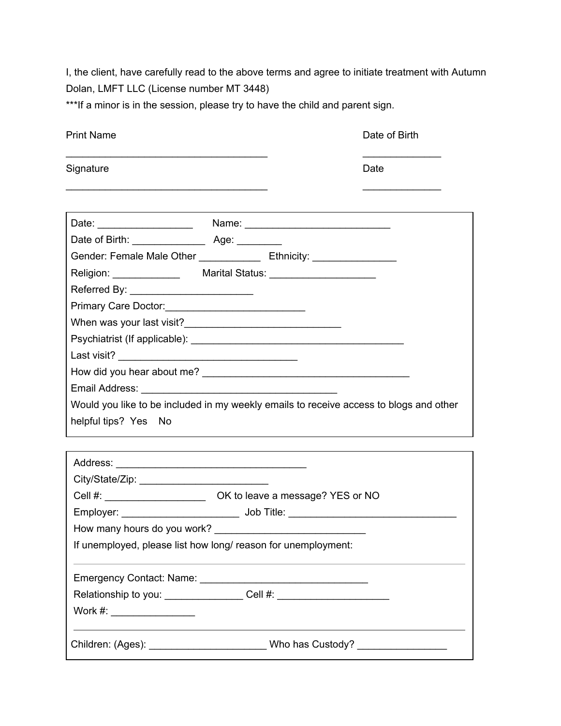I, the client, have carefully read to the above terms and agree to initiate treatment with Autumn Dolan, LMFT LLC (License number MT 3448)

\*\*\*If a minor is in the session, please try to have the child and parent sign.

| <b>Print Name</b>                                                                      |  | Date of Birth |
|----------------------------------------------------------------------------------------|--|---------------|
| Signature                                                                              |  | Date          |
|                                                                                        |  |               |
|                                                                                        |  |               |
|                                                                                        |  |               |
| Gender: Female Male Other _________________ Ethnicity: _________________________       |  |               |
| Religion: _________________ Marital Status: ________________________                   |  |               |
|                                                                                        |  |               |
|                                                                                        |  |               |
|                                                                                        |  |               |
|                                                                                        |  |               |
|                                                                                        |  |               |
|                                                                                        |  |               |
|                                                                                        |  |               |
| Would you like to be included in my weekly emails to receive access to blogs and other |  |               |
| helpful tips? Yes No                                                                   |  |               |
|                                                                                        |  |               |
|                                                                                        |  |               |
|                                                                                        |  |               |
|                                                                                        |  |               |
|                                                                                        |  |               |
| How many hours do you work?                                                            |  |               |

If unemployed, please list how long/ reason for unemployment:

| <b>Emergency Contact: Name:</b> |  |  |
|---------------------------------|--|--|
|                                 |  |  |

Relationship to you: \_\_\_\_\_\_\_\_\_\_\_\_\_\_\_\_\_\_ Cell #: \_\_\_\_\_\_\_\_\_\_\_\_\_\_\_\_\_\_\_\_\_\_\_\_\_\_\_\_\_\_\_\_

Work #: \_\_\_\_\_\_\_\_\_\_\_\_\_\_\_

Children: (Ages): \_\_\_\_\_\_\_\_\_\_\_\_\_\_\_\_\_\_\_\_\_\_\_\_\_\_\_\_Who has Custody? \_\_\_\_\_\_\_\_\_\_\_\_\_\_\_\_\_

 $\mathbb{E}[\mathcal{L}_{\mathcal{A}}] = \mathbb{E}[\mathcal{L}_{\mathcal{A}}] = \mathbb{E}[\mathcal{L}_{\mathcal{A}}]$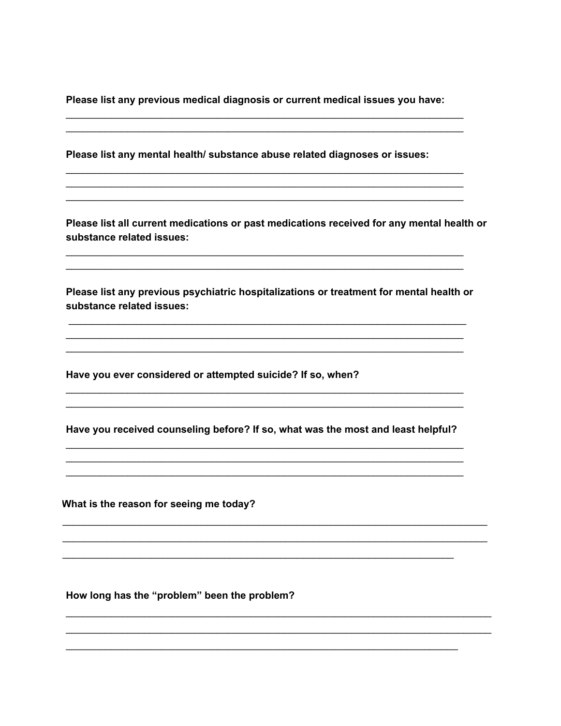Please list any previous medical diagnosis or current medical issues you have:

Please list any mental health/ substance abuse related diagnoses or issues:

Please list all current medications or past medications received for any mental health or substance related issues:

Please list any previous psychiatric hospitalizations or treatment for mental health or substance related issues:

Have you ever considered or attempted suicide? If so, when?

Have you received counseling before? If so, what was the most and least helpful?

What is the reason for seeing me today?

How long has the "problem" been the problem?